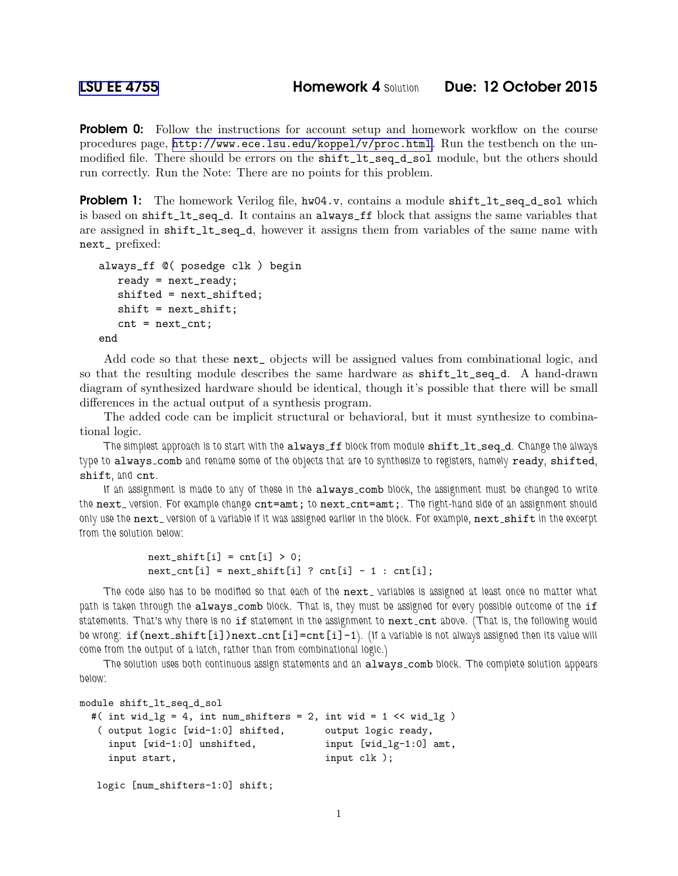**Problem 0:** Follow the instructions for account setup and homework workflow on the course procedures page, <http://www.ece.lsu.edu/koppel/v/proc.html>. Run the testbench on the unmodified file. There should be errors on the shift\_lt\_seq\_d\_sol module, but the others should run correctly. Run the Note: There are no points for this problem.

**Problem 1:** The homework Verilog file,  $hw04.v$ , contains a module shift\_lt\_seq\_d\_sol which is based on shift\_lt\_seq\_d. It contains an always\_ff block that assigns the same variables that are assigned in shift\_lt\_seq\_d, however it assigns them from variables of the same name with next\_ prefixed:

```
always_ff @( posedge clk ) begin
   ready = next_ready;
   shifted = next_shifted;
   shift = next_shift;
   cnt = next_cnt;
end
```
Add code so that these next\_ objects will be assigned values from combinational logic, and so that the resulting module describes the same hardware as shift\_lt\_seq\_d. A hand-drawn diagram of synthesized hardware should be identical, though it's possible that there will be small differences in the actual output of a synthesis program.

The added code can be implicit structural or behavioral, but it must synthesize to combinational logic.

The simplest approach is to start with the always ff block from module shift lt seq d. Change the always type to always\_comb and rename some of the objects that are to synthesize to registers, namely ready, shifted, shift, and cnt.

If an assignment is made to any of these in the always comb block, the assignment must be changed to write the next\_version. For example change cnt=amt; to next\_cnt=amt;. The right-hand side of an assignment should only use the next\_version of a variable if it was assigned earlier in the block. For example, next\_shift in the excerpt from the solution below:

```
next\_shift[i] = cnt[i] > 0;next_cnt[i] = next\_shift[i] ? cnt[i] - 1 : cnt[i];
```
The code also has to be modified so that each of the next\_variables is assigned at least once no matter what path is taken through the always\_comb block. That is, they must be assigned for every possible outcome of the if statements. That's why there is no if statement in the assignment to next\_cnt above. (That is, the following would be wrong: if (next\_shift[i])next\_cnt[i]=cnt[i]-1). (If a variable is not always assigned then its value will come from the output of a latch, rather than from combinational logic.)

The solution uses both continuous assign statements and an always\_comb block. The complete solution appears below:

```
module shift_lt_seq_d_sol
```

| #( int wid_lg = 4, int num_shifters = 2, int wid = 1 $\lt$ wid_lg ) |                           |
|---------------------------------------------------------------------|---------------------------|
| (output logic [wid-1:0] shifted,                                    | output logic ready,       |
| input [wid-1:0] unshifted,                                          | input $[wid_1g-1:0]$ amt, |
| input start,                                                        | input $clk$ );            |

```
logic [num_shifters-1:0] shift;
```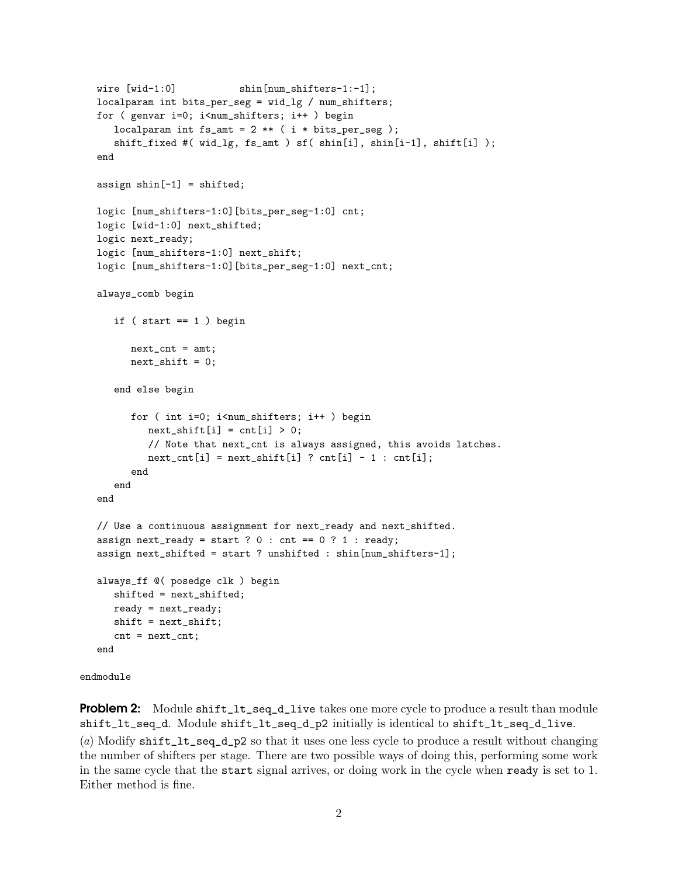```
wire [wid-1:0] shin[num_shifters-1:-1];
  localparam int bits_per_seg = wid_lg / num_shifters;
  for ( genvar i=0; i<num_shifters; i++ ) begin
      localparam int fs\_amt = 2 ** (i * bits\_per\_seg);
      shift_fixed #( wid_lg, fs_amt ) sf( shin[i], shin[i-1], shift[i] );
   end
  assign shin[-1] = shifted;
  logic [num_shifters-1:0][bits_per_seg-1:0] cnt;
  logic [wid-1:0] next_shifted;
  logic next_ready;
  logic [num_shifters-1:0] next_shift;
  logic [num_shifters-1:0][bits_per_seg-1:0] next_cnt;
  always_comb begin
      if (start == 1) begin
        next_cnt = amt;next\_shift = 0;end else begin
         for ( int i=0; i<num_shifters; i++ ) begin
           next\_shift[i] = cnt[i] > 0;// Note that next_cnt is always assigned, this avoids latches.
            next_cnt[i] = next_shit[i] ? cnt[i] - 1 : cnt[i];
         end
      end
   end
  // Use a continuous assignment for next_ready and next_shifted.
   assign next_ready = start ? 0 : cnt == 0 ? 1 : ready;
   assign next_shifted = start ? unshifted : shin[num_shifters-1];
  always_ff @( posedge clk ) begin
      shifted = next_shifted;
     ready = next_ready;
     shift = next_shift;
      cnt = next_cnt;
   end
endmodule
```
**Problem 2:** Module shift\_lt\_seq\_d\_live takes one more cycle to produce a result than module shift\_lt\_seq\_d. Module shift\_lt\_seq\_d\_p2 initially is identical to shift\_lt\_seq\_d\_live. (a) Modify shift\_lt\_seq\_d\_p2 so that it uses one less cycle to produce a result without changing

the number of shifters per stage. There are two possible ways of doing this, performing some work in the same cycle that the start signal arrives, or doing work in the cycle when ready is set to 1. Either method is fine.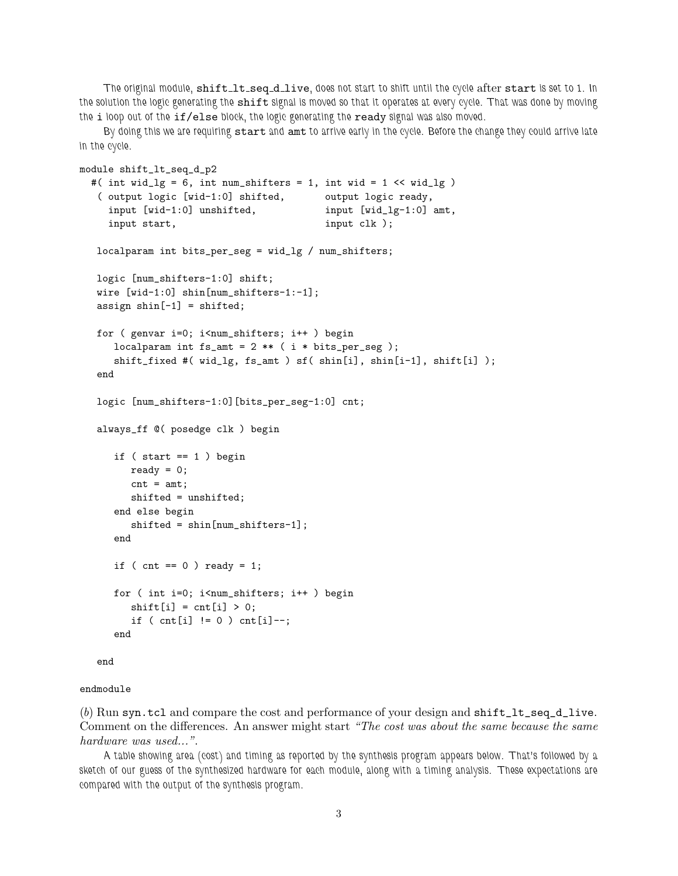The original module, shift lt\_seq\_d\_live, does not start to shift until the cycle after start is set to 1. In the solution the logic generating the shift signal is moved so that it operates at every cycle. That was done by moving the i loop out of the if/else block, the logic generating the ready signal was also moved.

By doing this we are requiring start and amt to arrive early in the cycle. Before the change they could arrive late in the cycle.

```
module shift_lt_seq_d_p2
 #( int wid_lg = 6, int num_shifters = 1, int wid = 1 \leq \text{wid}_2)
  ( output logic [wid-1:0] shifted, output logic ready,
    input [wid-1:0] unshifted, input [wid_lg-1:0] amt,
    input start, input clk );
  localparam int bits_per_seg = wid_lg / num_shifters;
  logic [num_shifters-1:0] shift;
  wire [wid-1:0] shin[num_shifters-1:-1];
  assign shin[-1] = shifted;
  for ( genvar i=0; i<num_shifters; i++ ) begin
     localparam int fs_amt = 2 ** ( i * bits_per_seg );
     shift_fixed #( wid_lg, fs_amt ) sf( shin[i], shin[i-1], shift[i] );
  end
  logic [num_shifters-1:0][bits_per_seg-1:0] cnt;
  always_ff @( posedge clk ) begin
     if ( start == 1 ) begin
        ready = 0;
        cnt = amt;
        shifted = unshifted;
     end else begin
        shifted = shin[num_shifters-1];
     end
     if ( cnt == 0 ) ready = 1;
     for ( int i=0; i<num_shifters; i++ ) begin
        shift[i] = cnt[i] > 0;if ( cnt[i] != 0 ) cnt[i] --;
     end
```
end

## endmodule

(b) Run syn.tcl and compare the cost and performance of your design and  $\text{shift\_lt\_seq\_dive}.$ Comment on the differences. An answer might start "The cost was about the same because the same hardware was used...".

A table showing area (cost) and timing as reported by the synthesis program appears below. That's followed by a sketch of our guess of the synthesized hardware for each module, along with a timing analysis. These expectations are compared with the output of the synthesis program.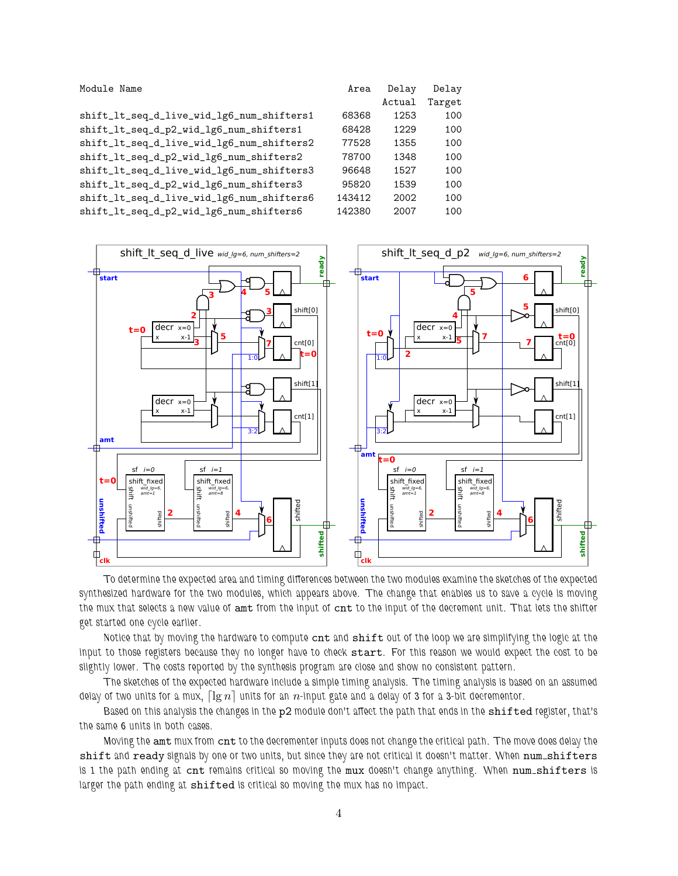Module Name

shift\_lt\_seq\_d\_live\_wid\_lg6\_num\_shifters1 shift\_lt\_seq\_d\_p2\_wid\_lg6\_num\_shifters1 shift\_lt\_seq\_d\_live\_wid\_lg6\_num\_shifters2 shift\_lt\_seq\_d\_p2\_wid\_lg6\_num\_shifters2 shift\_lt\_seq\_d\_live\_wid\_lg6\_num\_shifters3 shift\_lt\_seq\_d\_p2\_wid\_lg6\_num\_shifters3 shift\_lt\_seq\_d\_live\_wid\_lg6\_num\_shifters6 shift\_lt\_seq\_d\_p2\_wid\_lg6\_num\_shifters6

| Delay  | Delay  |
|--------|--------|
| Actual | Target |
| 1253   | 100    |
| 1229   | 100    |
| 1355   | 100    |
| 1348   | 100    |
| 1527   | 100    |
| 1539   | 100    |
| 2002   | 100    |
| 2007   | 100    |
|        |        |



To determine the expected area and timing differences between the two modules examine the sketches of the expected synthesized hardware for the two modules, which appears above. The change that enables us to save a cycle is moving the mux that selects a new value of amt from the input of cnt to the input of the decrement unit. That lets the shifter get started one cycle earlier.

Notice that by moving the hardware to compute cnt and shift out of the loop we are simplifying the logic at the input to those registers because they no longer have to check start. For this reason we would expect the cost to be slightly lower. The costs reported by the synthesis program are close and show no consistent pattern.

The sketches of the expected hardware include a simple timing analysis. The timing analysis is based on an assumed delay of two units for a mux,  $\lceil \lg n \rceil$  units for an n-input gate and a delay of 3 for a 3-bit decrementor.

Based on this analysis the changes in the p2 module don't affect the path that ends in the shifted register, that's the same 6 units in both cases.

Moving the amt mux from cnt to the decrementer inputs does not change the critical path. The move does delay the shift and ready signals by one or two units, but since they are not critical it doesn't matter. When num\_shifters is 1 the path ending at cnt remains critical so moving the mux doesn't change anything. When num shifters is larger the path ending at shifted is critical so moving the mux has no impact.